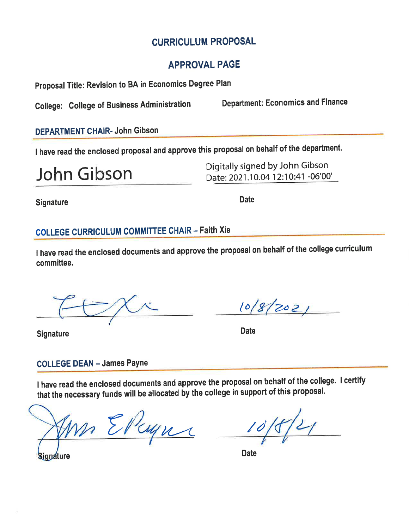## **CURRICULUM PROPOSAL**

## **APPROVAL PAGE**

Proposal Title: Revision to BA in Economics Degree Plan

**College: College of Business Administration** 

**Department: Economics and Finance** 

### **DEPARTMENT CHAIR- John Gibson**

I have read the enclosed proposal and approve this proposal on behalf of the department.

John Gibson

Digitally signed by John Gibson Date: 2021.10.04 12:10:41 -06'00'

**Signature** 

**Date** 

## **COLLEGE CURRICULUM COMMITTEE CHAIR - Faith Xie**

I have read the enclosed documents and approve the proposal on behalf of the college curriculum committee.

 $10/8/202/$ 

**Date** 

**Signature** 

## **COLLEGE DEAN - James Payne**

I have read the enclosed documents and approve the proposal on behalf of the college. I certify that the necessary funds will be allocated by the college in support of this proposal.

M Elleyns

**Date** 

**Signature**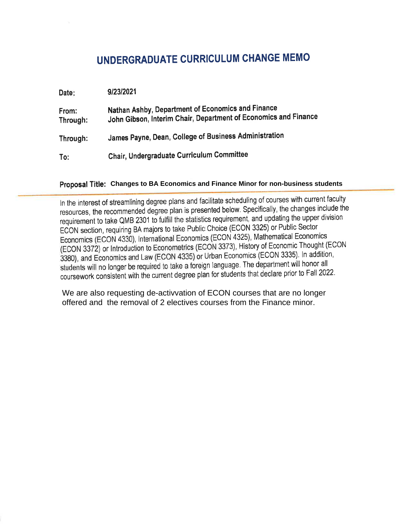## UNDERGRADUATE CURRICULUM CHANGE MEMO

| Date:             | 9/23/2021                                                                                                            |
|-------------------|----------------------------------------------------------------------------------------------------------------------|
| From:<br>Through: | Nathan Ashby, Department of Economics and Finance<br>John Gibson, Interim Chair, Department of Economics and Finance |
| Through:          | James Payne, Dean, College of Business Administration                                                                |
| To:               | Chair, Undergraduate Curriculum Committee                                                                            |

### Proposal Title: Changes to BA Economics and Finance Minor for non-business students

In the interest of streamlining degree plans and facilitate scheduling of courses with current faculty resources, the recommended degree plan is presented below. Specifically, the changes include the requirement to take QMB 2301 to fulfill the statistics requirement, and updating the upper division ECON section, requiring BA majors to take Public Choice (ECON 3325) or Public Sector Economics (ECON 4330), International Economics (ECON 4325), Mathematical Economics (ECON 3372) or Introduction to Econometrics (ECON 3373), History of Economic Thought (ECON 3380), and Economics and Law (ECON 4335) or Urban Economics (ECON 3335). In addition, students will no longer be required to take a foreign language. The department will honor all coursework consistent with the current degree plan for students that declare prior to Fall 2022.

We are also requesting de-activvation of ECON courses that are no longer offered and the removal of 2 electives courses from the Finance minor.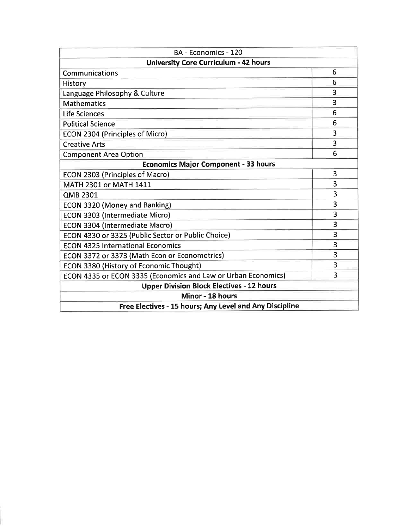| BA - Economics - 120                                          |                         |  |  |
|---------------------------------------------------------------|-------------------------|--|--|
| <b>University Core Curriculum - 42 hours</b>                  |                         |  |  |
| Communications                                                | 6                       |  |  |
| History                                                       | 6                       |  |  |
| Language Philosophy & Culture                                 | 3                       |  |  |
| <b>Mathematics</b>                                            | 3                       |  |  |
| Life Sciences                                                 | 6                       |  |  |
| <b>Political Science</b>                                      | 6                       |  |  |
| ECON 2304 (Principles of Micro)                               | 3                       |  |  |
| <b>Creative Arts</b>                                          | 3                       |  |  |
| <b>Component Area Option</b>                                  | 6                       |  |  |
| <b>Economics Major Component - 33 hours</b>                   |                         |  |  |
| ECON 2303 (Principles of Macro)                               | 3                       |  |  |
| MATH 2301 or MATH 1411                                        | 3                       |  |  |
| <b>QMB 2301</b>                                               | 3                       |  |  |
| <b>ECON 3320 (Money and Banking)</b>                          | 3                       |  |  |
| ECON 3303 (Intermediate Micro)                                | 3                       |  |  |
| ECON 3304 (Intermediate Macro)                                | $\overline{\mathbf{3}}$ |  |  |
| ECON 4330 or 3325 (Public Sector or Public Choice)            | 3                       |  |  |
| <b>ECON 4325 International Economics</b>                      | 3                       |  |  |
| ECON 3372 or 3373 (Math Econ or Econometrics)                 | $\overline{3}$          |  |  |
| ECON 3380 (History of Economic Thought)                       | $\overline{3}$          |  |  |
| ECON 4335 or ECON 3335 (Economics and Law or Urban Economics) | 3                       |  |  |
| <b>Upper Division Block Electives - 12 hours</b>              |                         |  |  |
| Minor - 18 hours                                              |                         |  |  |
| Free Electives - 15 hours; Any Level and Any Discipline       |                         |  |  |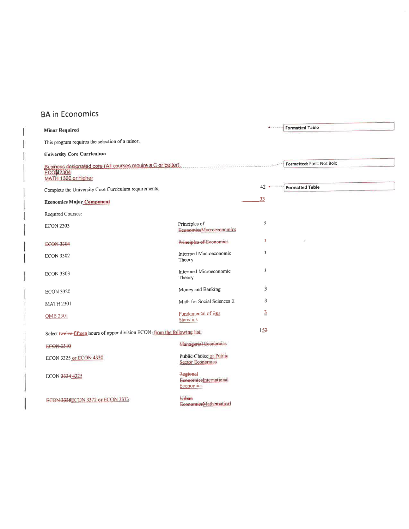## **BA** in Economics

| <b>Minor Required</b>                                                                                   |                                                    | $+ 1 - 1 - 1 - 1$ | <b>Formatted Table</b>    |
|---------------------------------------------------------------------------------------------------------|----------------------------------------------------|-------------------|---------------------------|
| This program requires the selection of a minor.                                                         |                                                    |                   |                           |
| <b>University Core Curriculum</b>                                                                       |                                                    |                   |                           |
| Business designated core (All courses require a C or better).<br><b>ECON2304</b><br>MATH 1320 or higher |                                                    |                   | Formatted: Font: Not Bold |
| Complete the University Core Curriculum requirements.                                                   |                                                    | 42 ******         | <b>Formatted Table</b>    |
| <b>Economics Major Component</b>                                                                        |                                                    | 33                |                           |
| Required Courses:                                                                                       |                                                    |                   |                           |
| <b>ECON 2303</b>                                                                                        | Principles of<br><b>EconomicsMacroeconomics</b>    | 3                 |                           |
| <b>ECON 2304</b>                                                                                        | <b>Principles of Economics</b>                     | 3                 |                           |
| <b>ECON 3302</b>                                                                                        | Intermed Macroeconomic<br>Theory                   | 3                 |                           |
| <b>ECON 3303</b>                                                                                        | Intermed Microeconomic<br>Theory                   | 3                 |                           |
| <b>ECON 3320</b>                                                                                        | Money and Banking                                  | 3                 |                           |
| <b>MATH 2301</b>                                                                                        | Math for Social Sciences II                        | 3                 |                           |
| <b>OMB 2301</b>                                                                                         | Fundamental of Bus<br><b>Statistics</b>            | $\overline{3}$    |                           |
| Select twelve-fifteen hours of upper division ECON: from the following list:                            |                                                    | 152               |                           |
| ECON 3310                                                                                               | Managerial Economics                               |                   |                           |
| ECON 3325 or ECON 4330                                                                                  | Public Choice or Public<br><b>Sector Economics</b> |                   |                           |
| ECON 3334 4325                                                                                          | Regional<br>EconomiesInternational<br>Economics    |                   |                           |
| ECON 3335ECON 3372 or ECON 3373                                                                         | Urban<br>EconomiesMathematical                     |                   |                           |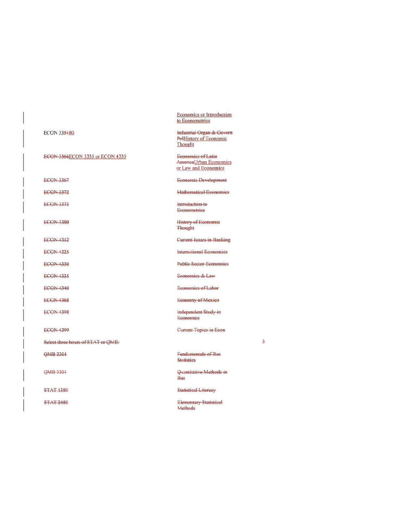| <b>ECON 335480</b>                 |
|------------------------------------|
| ECON 3366ECON 3335 or ECON 4335    |
| <b>ECON 3367</b>                   |
| ECON 3372                          |
| <b>ECON-3373</b>                   |
| <b>ECON 3380</b>                   |
| <b>ECON 4312</b>                   |
| <b>ECON 4325</b>                   |
| <b>ECON 4330</b>                   |
| <b>ECON 4335</b>                   |
| <b>ECON 4340</b>                   |
| <b>ECON 4368</b>                   |
| <b>ECON 4398</b>                   |
| <b>ECON 4399</b>                   |
| Select three hours of STAT or QMB: |
| QMB 2301                           |
| QMB 3301                           |
| <b>STAT 1380</b>                   |
| <b>STAT 2480</b>                   |

**Economics or Introduction** to Econometrics

Industrial Organ & Govern Poll-listory of Economic Thought

**Economics of Latin** AmericaUrban Economics or Law and Economics

Economic Development

Mathematical Economics

Introduction-to **Econometries** 

History of Economic Thought

**Current Issues in Banking** 

**International Economics** 

**Public Sector Economics** 

Economics & Law

Economics of Labor

Economy of Mexico

Independent Study in **Economics** 

Current Topics in Econ

 $\overline{\mathbf{3}}$ 

**Fundamentals of Bus Statisties** 

Quantitative Methods in Bus

Statistical Literacy

**Elementary-Statistical** Methods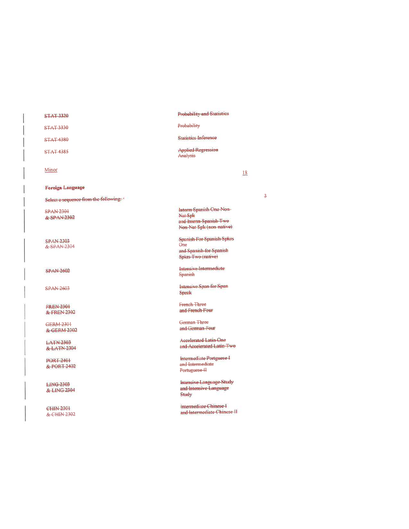#### **STAT 3320**

**STAT 3330** 

**STAT 4380** 

**STAT 4385** 

 $Minor$ 

#### **Foreign Language**

Select a sequence from the following: \*

**SPAN 2301** & SPAN-2302

**SPAN-2303** & SPAN 2304

**SPAN 2602** 

**SPAN 2603** 

**FREN 2301** & FREN 2302

**GERM 2301** & GERM 2302

**LATN 2303** & LATN 2304

**PORT 2401** & PORT 2402

**LING 2303** & LING 2304

CHIN 2301 & CHIN 2302

### **Probability and Statistics**

#### Probability

**Statistics Inference** 

**Applied Regression** Analysis

 $18$ 

Interm Spanish One Non-Nat-Spk and Interm Spanish Two Non-Nat Spk (non-native)

**Spanish For Spanish Spkrs**  $Q<sub>ne</sub>$ and Spanish for Spanish Spkrs-Two (native)

Intensive Intermediate **Spanish** 

Intensive Span for Span Spenk

French Three and French Four

German Three and German Four

**Accelerated Latin One** and Accelerated Latin-Two

Intermediate Portguese I and Intermediate Portuguese H

**Intensive Language Study** and Intensive Language Study

Intermediate Chinese I and Intermediate Chinese II

 $\overline{\mathbf{3}}$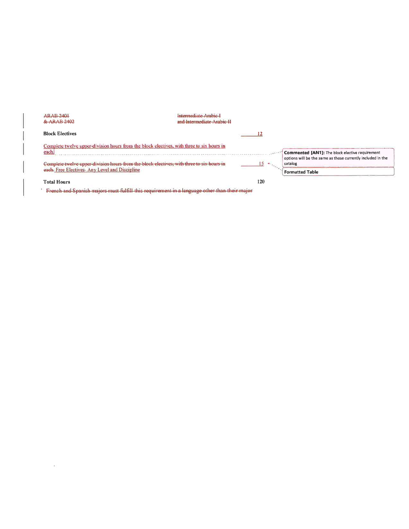| ARAB 2401<br>& ARAB 2402                                                                                             | Intermediate Arabic-I<br>and Intermediate Arabic II |                                                                                                                |
|----------------------------------------------------------------------------------------------------------------------|-----------------------------------------------------|----------------------------------------------------------------------------------------------------------------|
| <b>Block Electives</b>                                                                                               |                                                     |                                                                                                                |
| Complete twelve upper-division hours from the block electives, with three to six hours in<br>each.                   |                                                     | Commented [AN1]: The block elective requirement<br>options will be the same as those currently included in the |
| Complete twelve upper-division hours from the block electives, with<br>each. Free Electives-Any Level and Discipline |                                                     | catalog<br><b>Formatted Table</b>                                                                              |
| <b>Total Hours</b>                                                                                                   | 120                                                 |                                                                                                                |

French and Spanish majors must fulfill this requirement in a language other than their major

 $\tilde{E}$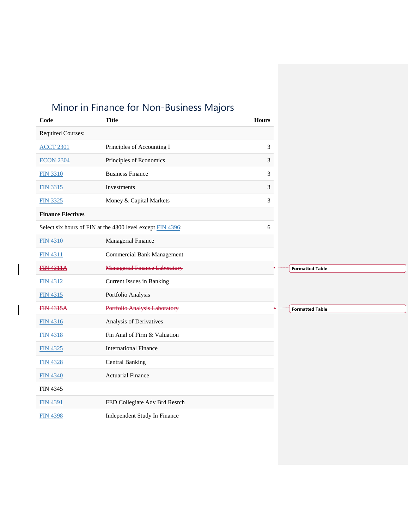# Minor in Finance for Non-Business Majors

| Code                     | <b>Title</b>                                               | <b>Hours</b> |                        |
|--------------------------|------------------------------------------------------------|--------------|------------------------|
| <b>Required Courses:</b> |                                                            |              |                        |
| <b>ACCT 2301</b>         | Principles of Accounting I                                 | 3            |                        |
| <b>ECON 2304</b>         | Principles of Economics                                    | 3            |                        |
| <b>FIN 3310</b>          | <b>Business Finance</b>                                    | 3            |                        |
| <b>FIN 3315</b>          | Investments                                                | 3            |                        |
| <b>FIN 3325</b>          | Money & Capital Markets                                    | 3            |                        |
| <b>Finance Electives</b> |                                                            |              |                        |
|                          | Select six hours of FIN at the 4300 level except FIN 4396: | 6            |                        |
| <b>FIN 4310</b>          | Managerial Finance                                         |              |                        |
| <b>FIN 4311</b>          | <b>Commercial Bank Management</b>                          |              |                        |
| <b>FIN 4311A</b>         | <b>Managerial Finance Laboratory</b>                       |              | <b>Formatted Table</b> |
| <b>FIN 4312</b>          | <b>Current Issues in Banking</b>                           |              |                        |
| <b>FIN 4315</b>          | Portfolio Analysis                                         |              |                        |
| <b>FIN 4315A</b>         | <b>Portfolio Analysis Laboratory</b>                       |              | <b>Formatted Table</b> |
| <b>FIN 4316</b>          | Analysis of Derivatives                                    |              |                        |
| <b>FIN 4318</b>          | Fin Anal of Firm & Valuation                               |              |                        |
| <b>FIN 4325</b>          | <b>International Finance</b>                               |              |                        |
| <b>FIN 4328</b>          | <b>Central Banking</b>                                     |              |                        |
| <b>FIN 4340</b>          | <b>Actuarial Finance</b>                                   |              |                        |
| <b>FIN 4345</b>          |                                                            |              |                        |
| <b>FIN 4391</b>          | FED Collegiate Adv Brd Resrch                              |              |                        |
| <b>FIN 4398</b>          | Independent Study In Finance                               |              |                        |
|                          |                                                            |              |                        |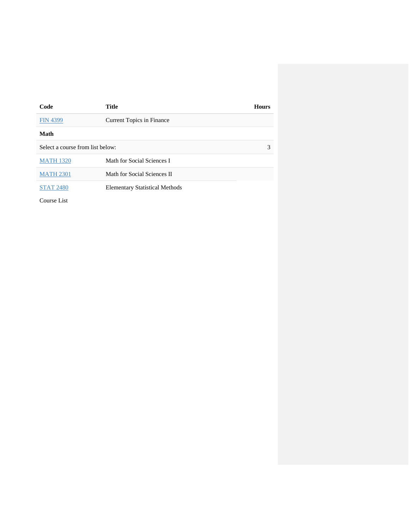| Code                             | <b>Title</b>                          | <b>Hours</b> |
|----------------------------------|---------------------------------------|--------------|
| <b>FIN 4399</b>                  | Current Topics in Finance             |              |
| Math                             |                                       |              |
| Select a course from list below: |                                       | 3            |
| <b>MATH 1320</b>                 | Math for Social Sciences I            |              |
| <b>MATH 2301</b>                 | Math for Social Sciences II           |              |
| <b>STAT 2480</b>                 | <b>Elementary Statistical Methods</b> |              |
| Course List                      |                                       |              |